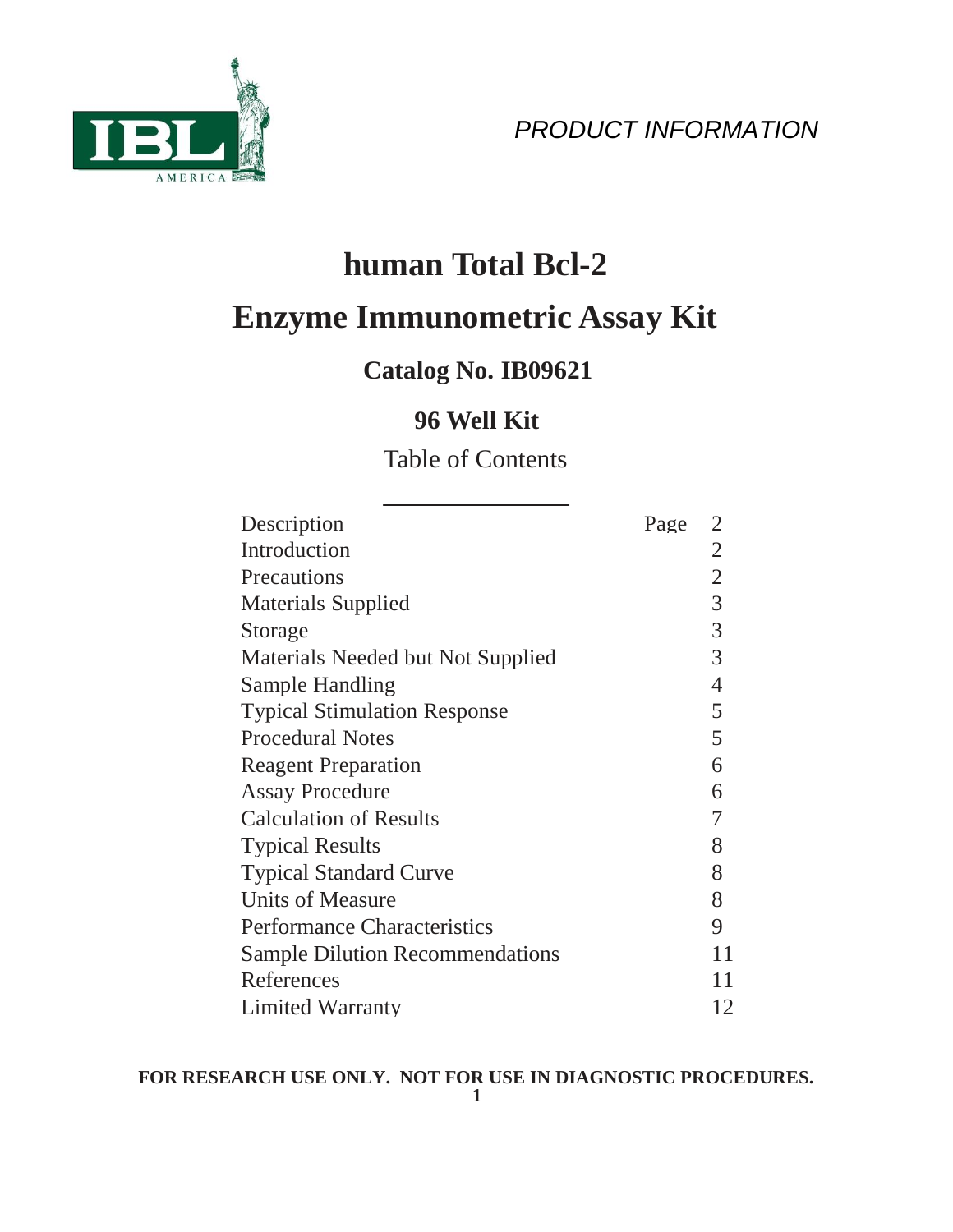



# **human Total Bcl-2 Enzyme Immunometric Assay Kit**

# **Catalog No. IB09621**

# **96 Well Kit**

# Table of Contents

| Description                            | Page | $\overline{2}$ |
|----------------------------------------|------|----------------|
| Introduction                           |      | $\overline{2}$ |
| Precautions                            |      | $\overline{2}$ |
| <b>Materials Supplied</b>              |      | $\overline{3}$ |
| Storage                                |      | $\overline{3}$ |
| Materials Needed but Not Supplied      |      | 3              |
| Sample Handling                        |      | $\overline{4}$ |
| <b>Typical Stimulation Response</b>    |      | 5              |
| <b>Procedural Notes</b>                |      | 5              |
| <b>Reagent Preparation</b>             |      | 6              |
| <b>Assay Procedure</b>                 |      | 6              |
| <b>Calculation of Results</b>          |      | 7              |
| <b>Typical Results</b>                 |      | 8              |
| <b>Typical Standard Curve</b>          |      | 8              |
| <b>Units of Measure</b>                |      | 8              |
| <b>Performance Characteristics</b>     |      | 9              |
| <b>Sample Dilution Recommendations</b> |      | 11             |
| References                             |      | 11             |
| <b>Limited Warranty</b>                |      | 12             |

# **FOR RESEARCH USE ONLY. NOT FOR USE IN DIAGNOSTIC PROCEDURES.**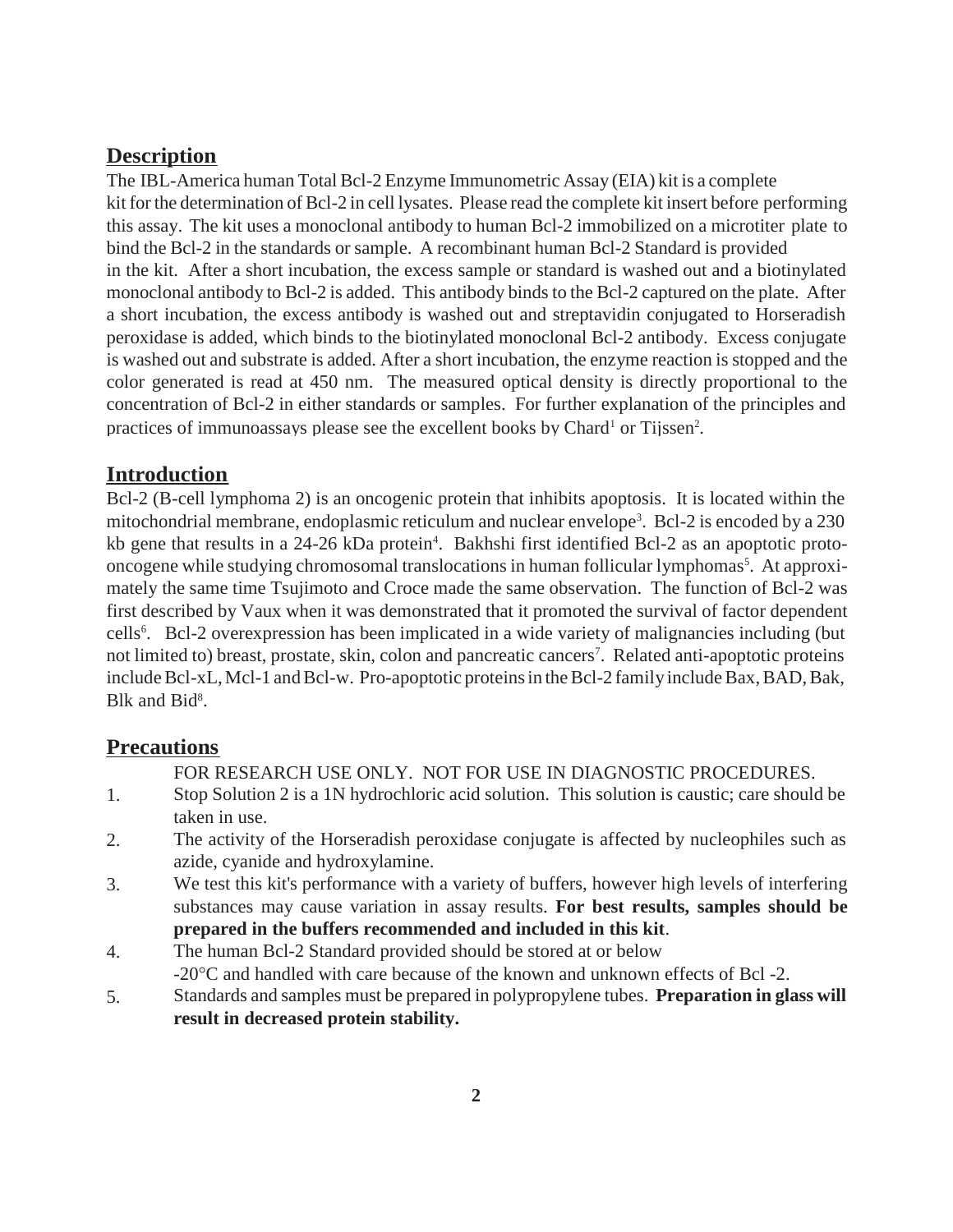#### **Description**

The IBL-America human Total Bcl-2 Enzyme Immunometric Assay (EIA) kit is a complete kit forthe determination of Bcl-2 in cell lysates. Please read the complete kit insert before performing this assay. The kit uses a monoclonal antibody to human Bcl-2 immobilized on a microtiter plate to bind the Bcl-2 in the standards or sample. A recombinant human Bcl-2 Standard is provided in the kit. After a short incubation, the excess sample or standard is washed out and a biotinylated monoclonal antibody to Bcl-2 is added. This antibody binds to the Bcl-2 captured on the plate. After a short incubation, the excess antibody is washed out and streptavidin conjugated to Horseradish peroxidase is added, which binds to the biotinylated monoclonal Bcl-2 antibody. Excess conjugate is washed out and substrate is added. After a short incubation, the enzyme reaction is stopped and the color generated is read at 450 nm. The measured optical density is directly proportional to the concentration of Bcl-2 in either standards or samples. For further explanation of the principles and practices of immunoassays please see the excellent books by Chard<sup>1</sup> or Tijssen<sup>2</sup>.

#### **Introduction**

Bcl-2 (B-cell lymphoma 2) is an oncogenic protein that inhibits apoptosis. It is located within the mitochondrial membrane, endoplasmic reticulum and nuclear envelope<sup>3</sup>. Bcl-2 is encoded by a 230 kb gene that results in a 24-26 kDa protein<sup>4</sup>. Bakhshi first identified Bcl-2 as an apoptotic protooncogene while studying chromosomal translocations in human follicular lymphomas<sup>5</sup>. At approximately the same time Tsujimoto and Croce made the same observation. The function of Bcl-2 was first described by Vaux when it was demonstrated that it promoted the survival of factor dependent cells 6 . Bcl-2 overexpression has been implicated in a wide variety of malignancies including (but not limited to) breast, prostate, skin, colon and pancreatic cancers 7 . Related anti-apoptotic proteins include Bcl-xL, Mcl-1 and Bcl-w. Pro-apoptotic proteins in the Bcl-2 family include Bax, BAD, Bak, Blk and Bid<sup>8</sup>.

#### **Precautions**

FOR RESEARCH USE ONLY. NOT FOR USE IN DIAGNOSTIC PROCEDURES.

- 1. Stop Solution 2 is a 1N hydrochloric acid solution. This solution is caustic; care should be taken in use.
- The activity of the Horseradish peroxidase conjugate is affected by nucleophiles such as azide, cyanide and hydroxylamine. 2.
- We test this kit's performance with a variety of buffers, however high levels of interfering substances may cause variation in assay results. **For best results, samples should be prepared in the buffers recommended and included in this kit**. 3.
- The human Bcl-2 Standard provided should be stored at or below 4.
- -20C and handled with care because of the known and unknown effects of Bcl -2.
- Standards and samples must be prepared in polypropylene tubes. **Preparation in glass will result in decreased protein stability.** 5.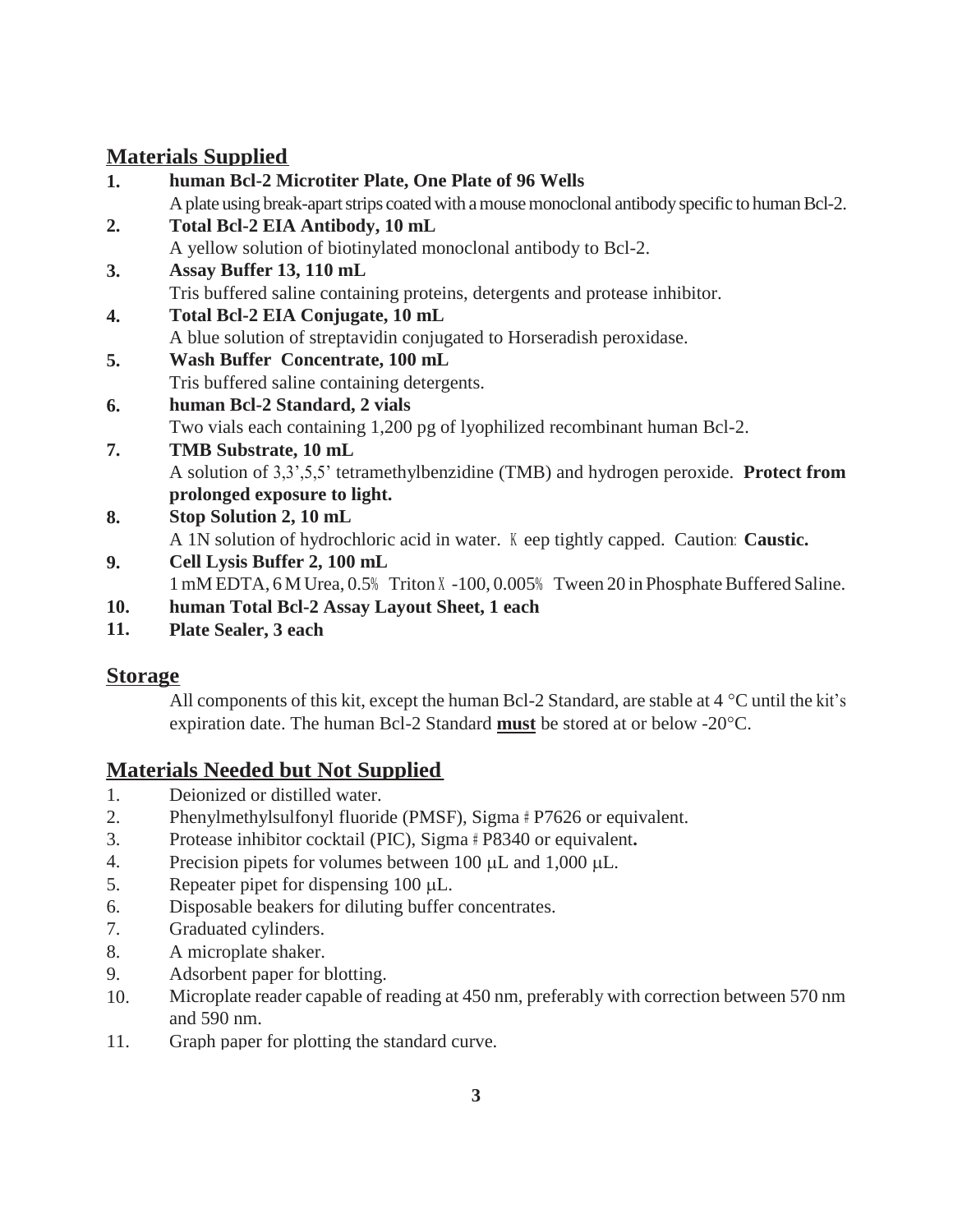## **Materials Supplied**

- **1. human Bcl-2 Microtiter Plate, One Plate of 96 Wells** A plate using break-apart strips coated with a mouse monoclonal antibody specific to human Bcl-2. **Total Bcl-2 EIA Antibody, 10 mL** A yellow solution of biotinylated monoclonal antibody to Bcl-2. **Assay Buffer 13, 110 mL** Tris buffered saline containing proteins, detergents and protease inhibitor. **2. 3.**
- **Total Bcl-2 EIA Conjugate, 10 mL** A blue solution of streptavidin conjugated to Horseradish peroxidase. **4.**
- **Wash Buffer Concentrate, 100 mL** Tris buffered saline containing detergents. **5.**
- **human Bcl-2 Standard, 2 vials 6.**

Two vials each containing 1,200 pg of lyophilized recombinant human Bcl-2.

- **TMB Substrate, 10 mL** A solution of 3,3',5,5' tetramethylbenzidine (TMB) and hydrogen peroxide. **Protect from prolonged exposure to light. 7.**
- **Stop Solution 2, 10 mL** A 1N solution of hydrochloric acid in water. K eep tightly capped. Caution: **Caustic. 8.**
- **Cell Lysis Buffer 2, 100 mL** 1 mM EDTA, 6 M Urea, 0.5% Triton X -100, 0.005% Tween 20 in Phosphate Buffered Saline. **9.**
- **human Total Bcl-2 Assay Layout Sheet, 1 each 10.**
- **Plate Sealer, 3 each 11.**

# **Storage**

All components of this kit, except the human Bcl-2 Standard, are stable at  $4^{\circ}$ C until the kit's expiration date. The human Bcl-2 Standard **must** be stored at or below -20C.

# **Materials Needed but Not Supplied**

- 1. Deionized or distilled water.
- 2. Phenylmethylsulfonyl fluoride (PMSF), Sigma # P7626 or equivalent.
- 3. Protease inhibitor cocktail (PIC), Sigma # P8340 or equivalent**.**
- 4. Precision pipets for volumes between 100  $\mu$ L and 1,000  $\mu$ L.
- 5. Repeater pipet for dispensing  $100 \mu L$ .
- 6. Disposable beakers for diluting buffer concentrates.
- 7. Graduated cylinders.
- 8. A microplate shaker.
- 9. Adsorbent paper for blotting.
- 10. Microplate reader capable of reading at 450 nm, preferably with correction between 570 nm and 590 nm.
- 11. Graph paper for plotting the standard curve.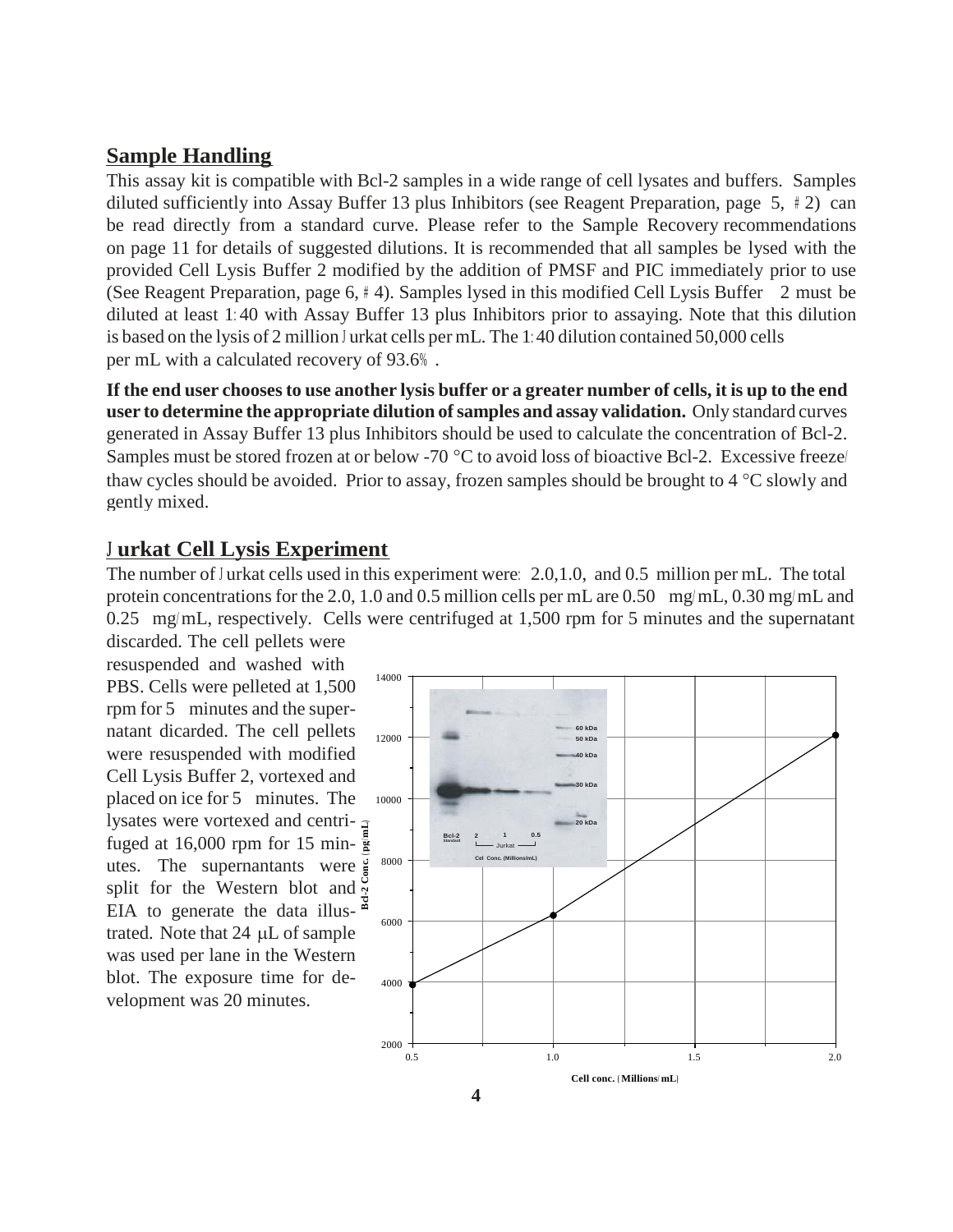#### **Sample Handling**

This assay kit is compatible with Bcl-2 samples in a wide range of cell lysates and buffers. Samples diluted sufficiently into Assay Buffer 13 plus Inhibitors (see Reagent Preparation, page 5, # 2) can be read directly from a standard curve. Please refer to the Sample Recovery recommendations on page 11 for details of suggested dilutions. It is recommended that all samples be lysed with the provided Cell Lysis Buffer 2 modified by the addition of PMSF and PIC immediately prior to use (See Reagent Preparation, page 6, # 4). Samples lysed in this modified Cell Lysis Buffer 2 must be diluted at least 1: 40 with Assay Buffer 13 plus Inhibitors prior to assaying. Note that this dilution is based on the lysis of 2 million <sup>J</sup> urkat cells per mL. The 1: 40 dilution contained 50,000 cells per mL with a calculated recovery of 93.6% .

If the end user chooses to use another lysis buffer or a greater number of cells, it is up to the end **user to determine the appropriate dilution ofsamples and assay validation.** Only standard curves generated in Assay Buffer 13 plus Inhibitors should be used to calculate the concentration of Bcl-2. Samples must be stored frozen at or below -70  $\degree$ C to avoid loss of bioactive Bcl-2. Excessive freeze/ thaw cycles should be avoided. Prior to assay, frozen samples should be brought to  $4^{\circ}$ C slowly and gently mixed.

#### **<sup>J</sup> urkat Cell Lysis Experiment**

The number of J urkat cells used in this experiment were: 2.0,1.0, and 0.5 million per mL. The total protein concentrations for the 2.0, 1.0 and 0.5 million cells per mL are 0.50 mg/ mL, 0.30 mg/ mL and 0.25 mg/mL, respectively. Cells were centrifuged at 1,500 rpm for 5 minutes and the supernatant

discarded. The cell pellets were resuspended and washed with PBS. Cells were pelleted at  $1,500$ <sup>14000</sup> rpm for 5 minutes and the supernatant dicarded. The cell pellets were resuspended with modified Cell Lysis Buffer 2, vortexed and placed on ice for 5 minutes. The lysates were vortexed and centri- $\sigma$ fuged at 16,000 rpm for 15 min- $\frac{5}{8}$ utes. The supernantants were split for the Western blot and EIA to generate the data illustrated. Note that  $24 \mu L$  of sample was used per lane in the Western blot. The exposure time for development was 20 minutes. **Bcl-2 Conc. ( pg/ mL)**

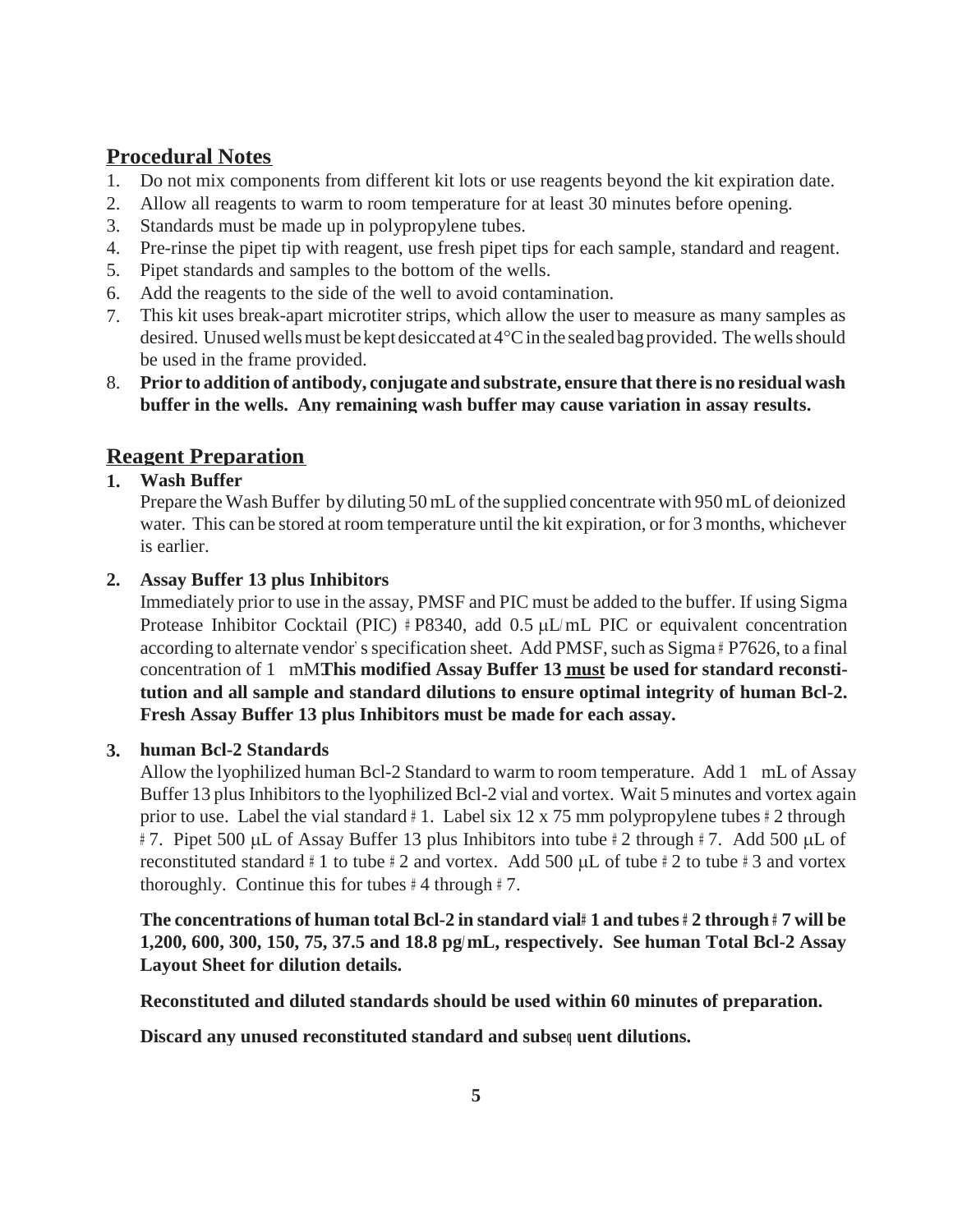#### **Procedural Notes**

- 1. Do not mix components from different kit lots or use reagents beyond the kit expiration date.
- 2. Allow all reagents to warm to room temperature for at least 30 minutes before opening.
- 3. Standards must be made up in polypropylene tubes.
- 4. Pre-rinse the pipet tip with reagent, use fresh pipet tips for each sample, standard and reagent.
- 5. Pipet standards and samples to the bottom of the wells.
- 6. Add the reagents to the side of the well to avoid contamination.
- 7. This kit uses break-apart microtiter strips, which allow the user to measure as many samples as desired. Unused wells must be kept desiccated at  $4^{\circ}$ C in the sealed bag provided. The wells should be used in the frame provided.
- **Prior to addition of antibody, conjugate and substrate, ensure thatthere is no residual wash**  8. **buffer in the wells. Any remaining wash buffer may cause variation in assay results.**

## **Reagent Preparation**

#### **1. Wash Buffer**

Prepare the Wash Buffer by diluting 50 mL of the supplied concentrate with 950 mL of deionized water. This can be stored at room temperature until the kit expiration, or for 3 months, whichever is earlier.

#### **Assay Buffer 13 plus Inhibitors 2.**

Immediately prior to use in the assay, PMSF and PIC must be added to the buffer. If using Sigma Protease Inhibitor Cocktail (PIC)  $\#P8340$ , add 0.5 µL/mL PIC or equivalent concentration according to alternate vendor's specification sheet. Add PMSF, such as  $Sigma \# P7626$ , to a final concentration of 1 mM.**This modified Assay Buffer 13 must be used for standard reconstitution and all sample and standard dilutions to ensure optimal integrity of human Bcl-2. Fresh Assay Buffer 13 plus Inhibitors must be made for each assay.**

#### **human Bcl-2 Standards 3.**

Allow the lyophilized human Bcl-2 Standard to warm to room temperature. Add 1 mL of Assay Buffer 13 plus Inhibitors to the lyophilized Bcl-2 vial and vortex. Wait 5 minutes and vortex again prior to use. Label the vial standard  $\# 1$ . Label six 12 x 75 mm polypropylene tubes  $\# 2$  through  $\#$  7. Pipet 500 µL of Assay Buffer 13 plus Inhibitors into tube  $\#$  2 through  $\#$  7. Add 500 µL of reconstituted standard  $\# 1$  to tube  $\# 2$  and vortex. Add 500  $\mu$ L of tube  $\# 2$  to tube  $\# 3$  and vortex thoroughly. Continue this for tubes  $#4$  through  $#7$ .

The concentrations of human total Bcl-2 in standard vial# 1 and tubes # 2 through # 7 will be **1,200, 600, 300, 150, 75, 37.5 and 18.8 pg/ mL, respectively. See human Total Bcl-2 Assay Layout Sheet for dilution details.**

**Reconstituted and diluted standards should be used within 60 minutes of preparation.** 

**Discard any unused reconstituted standard and subseq uent dilutions.**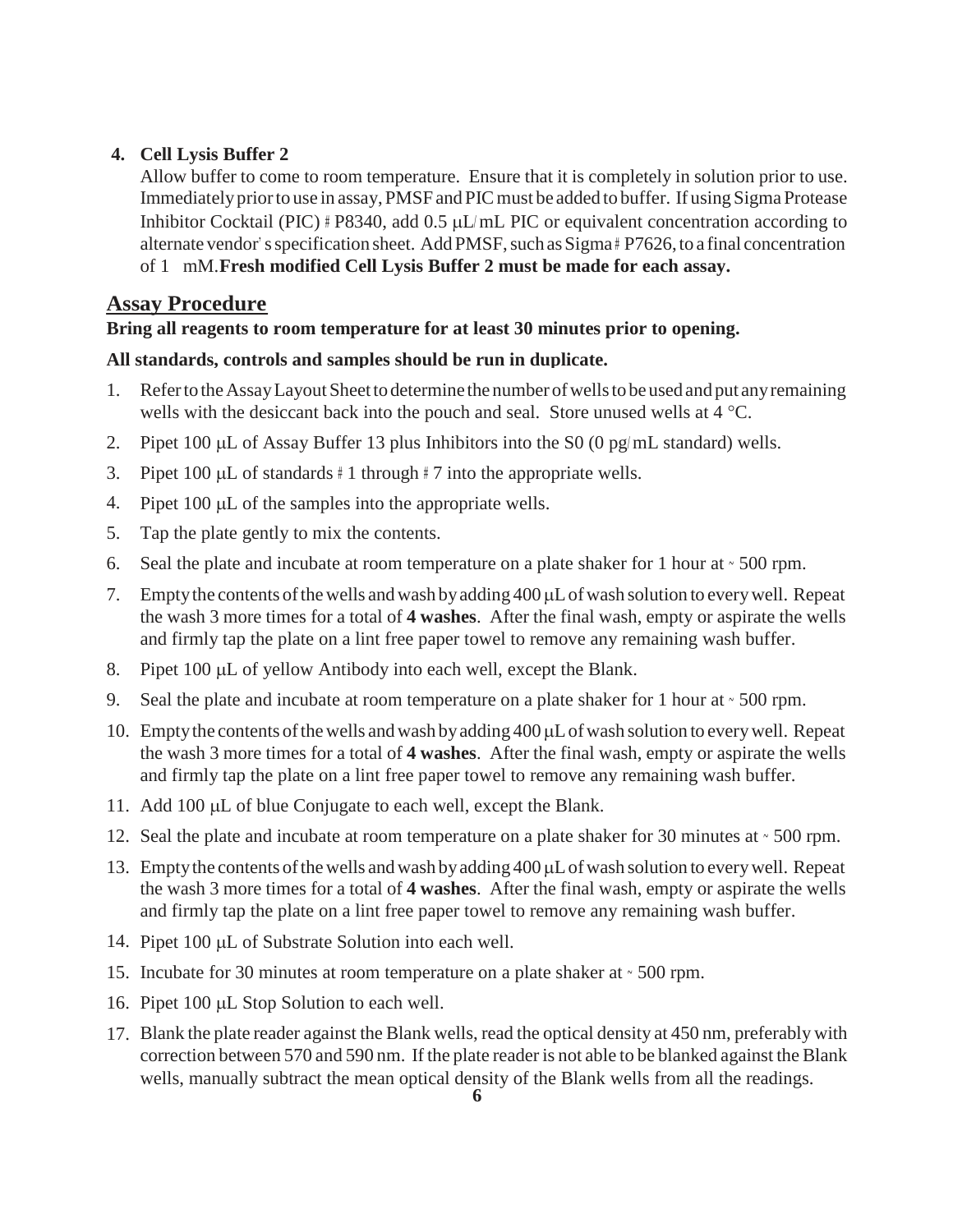#### **4. Cell Lysis Buffer 2**

Allow buffer to come to room temperature. Ensure that it is completely in solution prior to use. Immediately prior to use in assay, PMSF and PIC must be added to buffer. If using Sigma Protease Inhibitor Cocktail (PIC)  $# P8340$ , add 0.5 µL/mL PIC or equivalent concentration according to alternate vendor's specification sheet. Add PMSF, such as Sigma# P7626, to a final concentration of 1 mM.**Fresh modified Cell Lysis Buffer 2 must be made for each assay.**

#### **Assay Procedure**

#### **Bring all reagents to room temperature for at least 30 minutes prior to opening.**

#### **All standards, controls and samples should be run in duplicate.**

- 1. Referto theAssayLayoutSheetto determine the number ofwellsto be used and put anyremaining wells with the desiccant back into the pouch and seal. Store unused wells at  $4^{\circ}$ C.
- 2. Pipet 100  $\mu$ L of Assay Buffer 13 plus Inhibitors into the S0 (0 pg/mL standard) wells.
- 3. Pipet 100  $\mu$ L of standards # 1 through # 7 into the appropriate wells.
- 4. Pipet  $100 \mu L$  of the samples into the appropriate wells.
- Tap the plate gently to mix the contents. 5.
- Seal the plate and incubate at room temperature on a plate shaker for 1 hour at ~ 500 rpm. 6.
- 7. Empty the contents of the wells and wash by adding 400 µL of wash solution to every well. Repeat the wash 3 more times for a total of **4 washes**. After the final wash, empty or aspirate the wells and firmly tap the plate on a lint free paper towel to remove any remaining wash buffer.
- 8. Pipet 100 µL of yellow Antibody into each well, except the Blank.
- 9. Seal the plate and incubate at room temperature on a plate shaker for 1 hour at  $\sim$  500 rpm.
- 10. Empty the contents of the wells and wash by adding 400 µL of wash solution to every well. Repeat the wash 3 more times for a total of **4 washes**. After the final wash, empty or aspirate the wells and firmly tap the plate on a lint free paper towel to remove any remaining wash buffer.
- 11. Add 100 µL of blue Conjugate to each well, except the Blank.
- 12. Seal the plate and incubate at room temperature on a plate shaker for 30 minutes at  $\cdot$  500 rpm.
- 13. Empty the contents of the wells and wash by adding 400 µL of wash solution to every well. Repeat the wash 3 more times for a total of **4 washes**. After the final wash, empty or aspirate the wells and firmly tap the plate on a lint free paper towel to remove any remaining wash buffer.
- 14. Pipet 100 µL of Substrate Solution into each well.
- 15. Incubate for 30 minutes at room temperature on a plate shaker at ~ 500 rpm.
- 16. Pipet 100 µL Stop Solution to each well.
- 17. Blank the plate reader against the Blank wells, read the optical density at 450 nm, preferably with correction between 570 and 590 nm. If the plate reader is not able to be blanked against the Blank wells, manually subtract the mean optical density of the Blank wells from all the readings.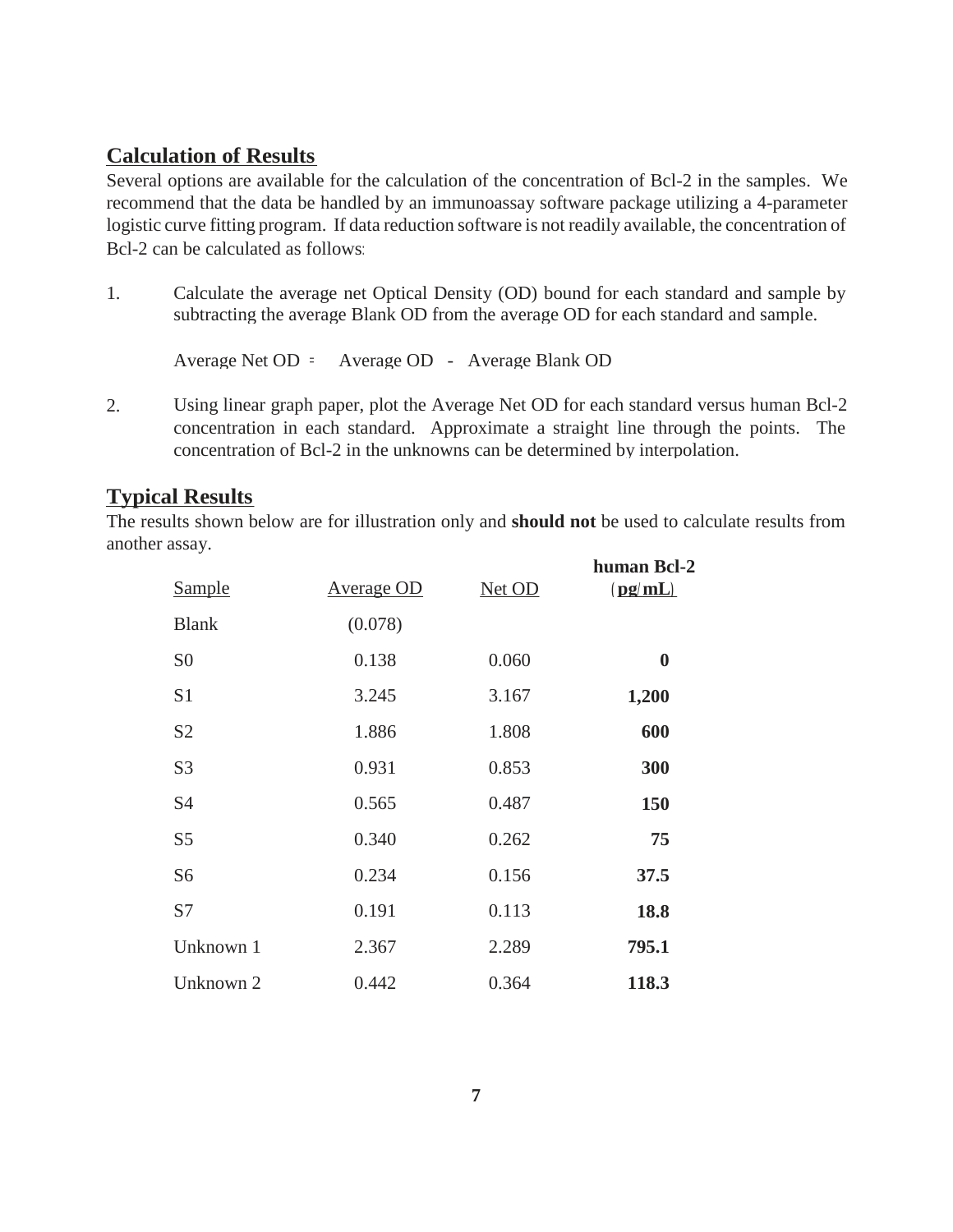#### **Calculation of Results**

Several options are available for the calculation of the concentration of Bcl-2 in the samples. We recommend that the data be handled by an immunoassay software package utilizing a 4-parameter logistic curve fitting program. If data reduction software is not readily available, the concentration of Bcl-2 can be calculated as follows:

1. Calculate the average net Optical Density (OD) bound for each standard and sample by subtracting the average Blank OD from the average OD for each standard and sample.

Average Net OD = Average OD - Average Blank OD

2. Using linear graph paper, plot the Average Net OD for each standard versus human Bcl-2 concentration in each standard. Approximate a straight line through the points. The concentration of Bcl-2 in the unknowns can be determined by interpolation.

#### **Typical Results**

The results shown below are for illustration only and **should not** be used to calculate results from another assay.

| Sample         | <b>Average OD</b> | Net OD | human Bcl-2<br>(pq/mL) |
|----------------|-------------------|--------|------------------------|
| <b>Blank</b>   | (0.078)           |        |                        |
| S <sub>0</sub> | 0.138             | 0.060  | $\boldsymbol{0}$       |
| S <sub>1</sub> | 3.245             | 3.167  | 1,200                  |
| S <sub>2</sub> | 1.886             | 1.808  | 600                    |
| S <sub>3</sub> | 0.931             | 0.853  | 300                    |
| S <sub>4</sub> | 0.565             | 0.487  | 150                    |
| S <sub>5</sub> | 0.340             | 0.262  | 75                     |
| S <sub>6</sub> | 0.234             | 0.156  | 37.5                   |
| S7             | 0.191             | 0.113  | 18.8                   |
| Unknown 1      | 2.367             | 2.289  | 795.1                  |
| Unknown 2      | 0.442             | 0.364  | 118.3                  |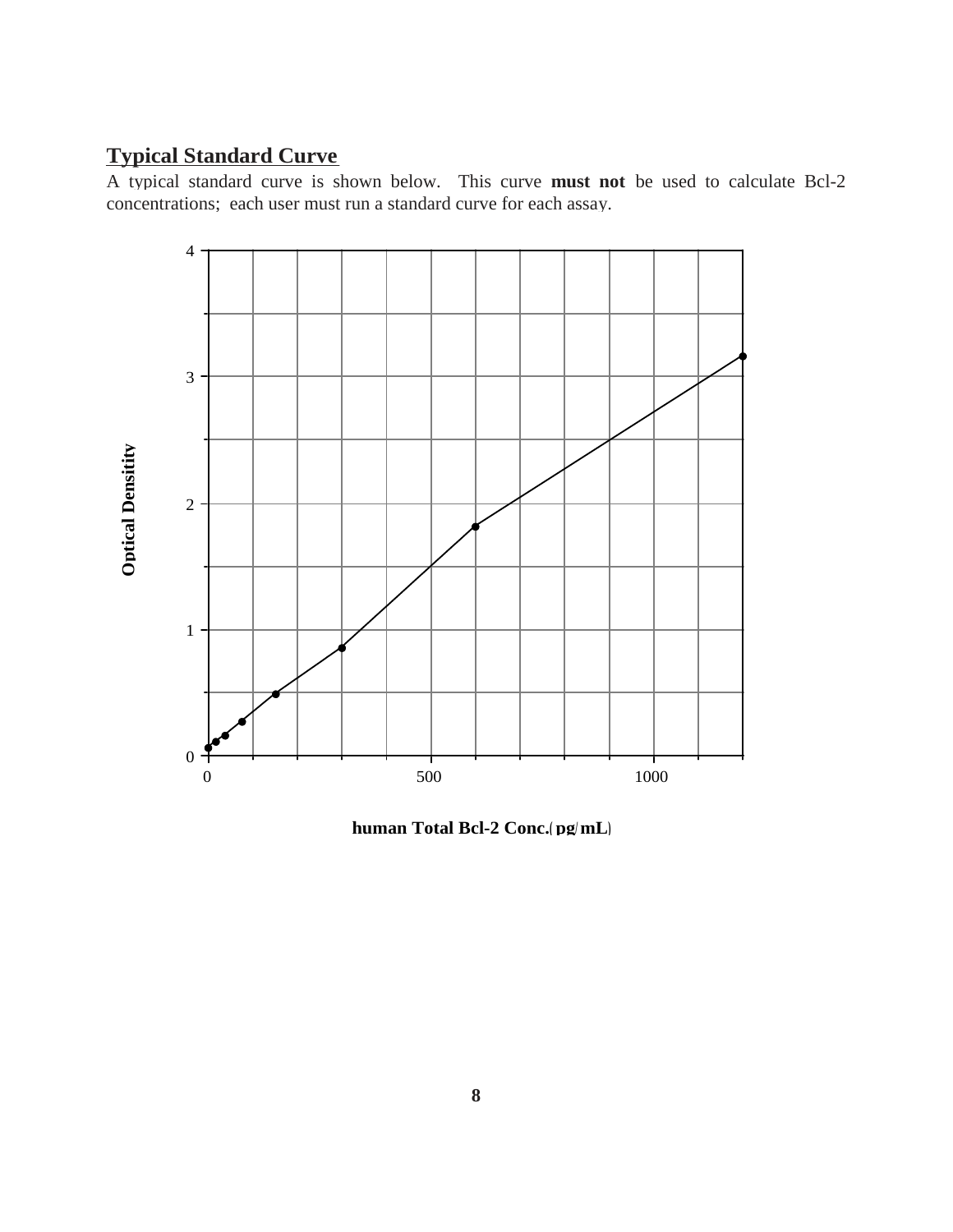## **Typical Standard Curve**

A typical standard curve is shown below. This curve **must not** be used to calculate Bcl-2 concentrations; each user must run a standard curve for each assay.



**human Total Bcl-2 Conc.( pg/ mL)**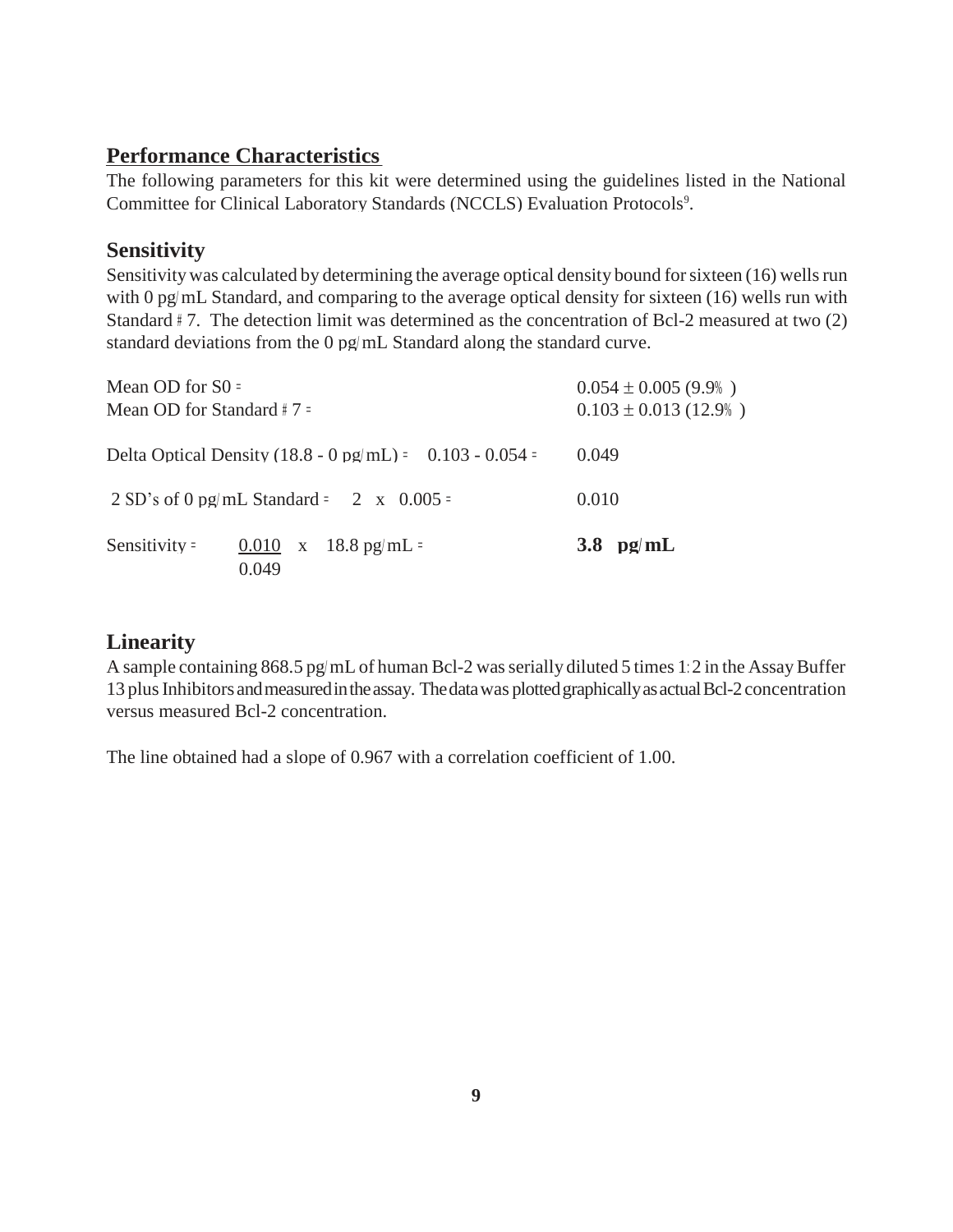#### **Performance Characteristics**

The following parameters for this kit were determined using the guidelines listed in the National Committee for Clinical Laboratory Standards (NCCLS) Evaluation Protocols<sup>9</sup>.

### **Sensitivity**

Sensitivity was calculated by determining the average optical density bound for sixteen (16) wells run with 0 pg/ mL Standard, and comparing to the average optical density for sixteen (16) wells run with Standard #7. The detection limit was determined as the concentration of Bcl-2 measured at two (2) standard deviations from the 0 pg/mL Standard along the standard curve.

|                               | 0.049                                                      |                           |
|-------------------------------|------------------------------------------------------------|---------------------------|
| Sensitivity $=$               | 0.010 x 18.8 pg/mL =                                       | 3.8 $pg/mL$               |
|                               | 2 SD's of 0 pg/mL Standard = 2 x 0.005 =                   | 0.010                     |
|                               | Delta Optical Density (18.8 - 0 pg/mL) = $0.103 - 0.054 =$ | 0.049                     |
| Mean OD for Standard $\#$ 7 = |                                                            | $0.103 \pm 0.013$ (12.9%) |
| Mean OD for $S0 =$            |                                                            | $0.054 \pm 0.005$ (9.9%)  |

#### **Linearity**

A sample containing 868.5 pg/mL of human Bcl-2 was serially diluted 5 times 1:2 in the Assay Buffer 13 plus Inhibitors and measured in the assay. The data was plotted graphically as actual Bcl-2 concentration versus measured Bcl-2 concentration.

The line obtained had a slope of 0.967 with a correlation coefficient of 1.00.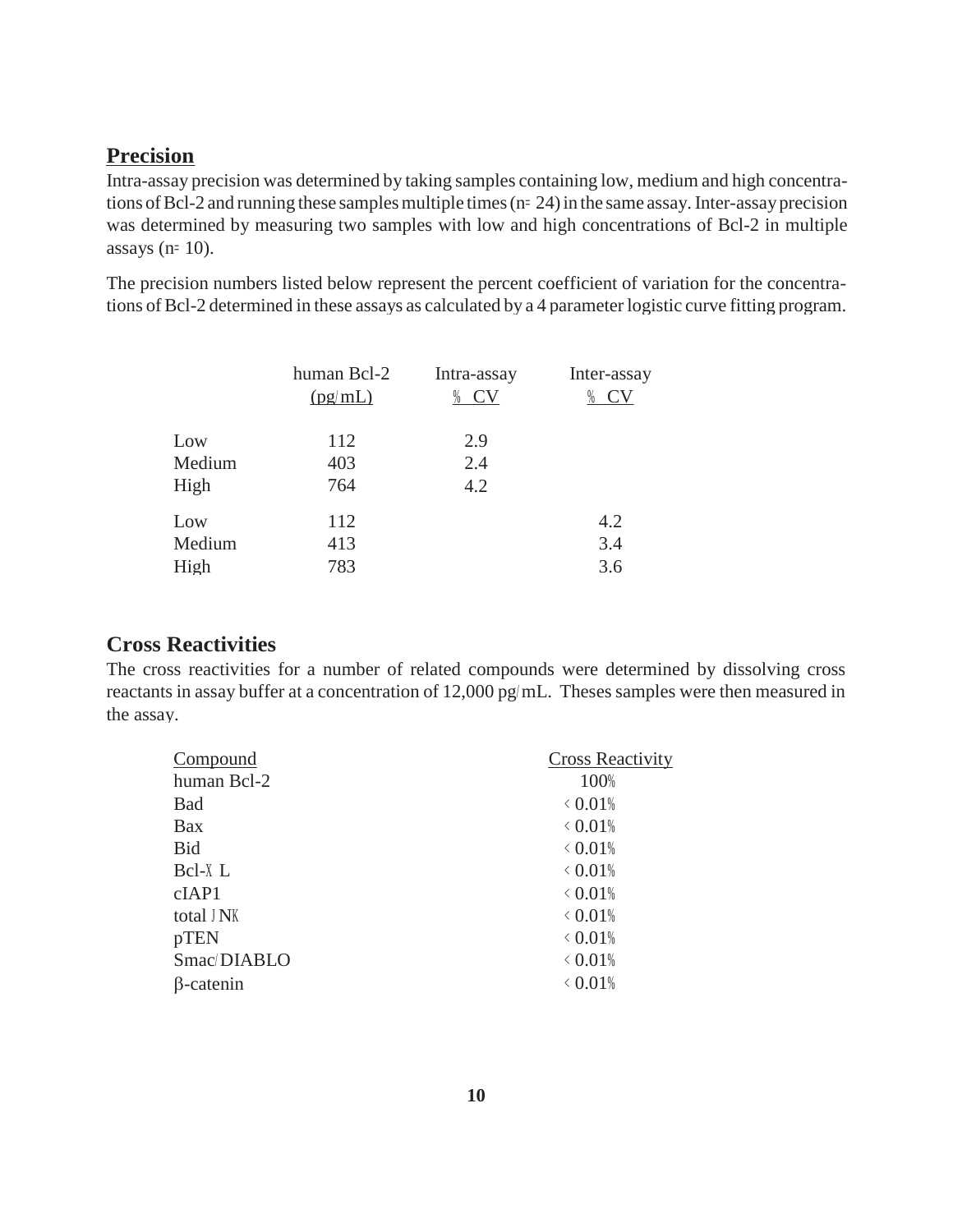## **Precision**

Intra-assay precision was determined by taking samples containing low, medium and high concentrations of Bcl-2 and running these samples multiple times (n= 24) in the same assay. Inter-assay precision was determined by measuring two samples with low and high concentrations of Bcl-2 in multiple assays (n= 10).

The precision numbers listed below represent the percent coefficient of variation for the concentrations of Bcl-2 determined in these assays as calculated by a 4 parameter logistic curve fitting program.

|        | human Bcl-2 | Intra-assay | Inter-assay |
|--------|-------------|-------------|-------------|
|        | (pg/mL)     | <b>CV</b>   | CV<br>%     |
|        |             |             |             |
| Low    | 112         | 2.9         |             |
| Medium | 403         | 2.4         |             |
| High   | 764         | 4.2         |             |
| Low    | 112         |             | 4.2         |
| Medium | 413         |             | 3.4         |
| High   | 783         |             | 3.6         |

#### **Cross Reactivities**

The cross reactivities for a number of related compounds were determined by dissolving cross reactants in assay buffer at a concentration of 12,000 pg/ mL. Theses samples were then measured in the assay.

| Compound         | <b>Cross Reactivity</b> |
|------------------|-------------------------|
| human Bcl-2      | 100%                    |
| <b>Bad</b>       | $\langle 0.01\%$        |
| <b>Bax</b>       | $\langle 0.01\%$        |
| Bid              | $\langle 0.01\%$        |
| Bcl-X L          | $< 0.01\%$              |
| cIAP1            | $\langle 0.01\%$        |
| total J NK       | $\langle 0.01\%$        |
| pTEN             | $\langle 0.01\%$        |
| Smac/DIABLO      | $\langle 0.01\%$        |
| $\beta$ -catenin | $\langle 0.01\%$        |
|                  |                         |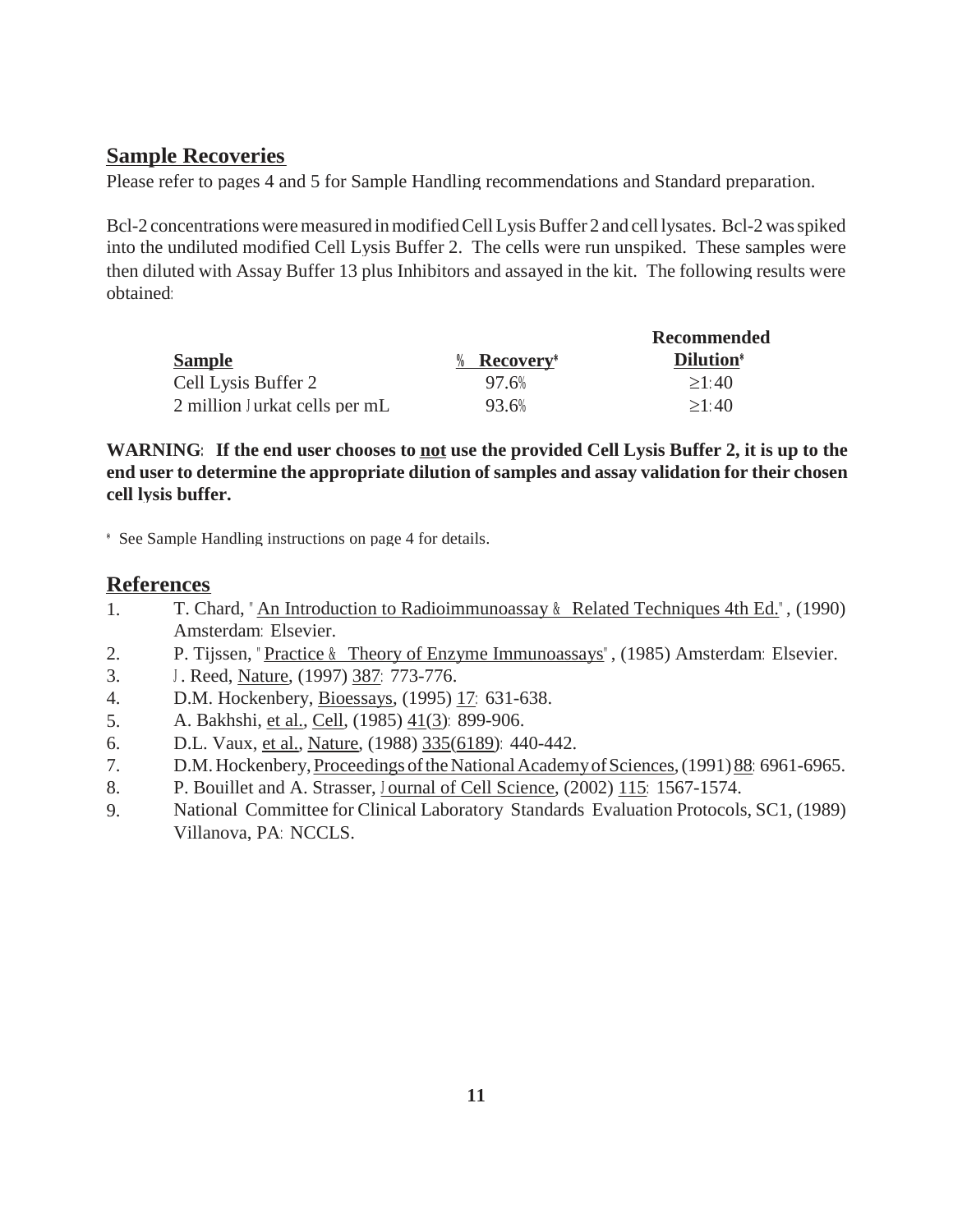#### **Sample Recoveries**

Please refer to pages 4 and 5 for Sample Handling recommendations and Standard preparation.

Bcl-2 concentrations were measured in modified Cell Lysis Buffer 2 and cell lysates. Bcl-2 was spiked into the undiluted modified Cell Lysis Buffer 2. The cells were run unspiked. These samples were then diluted with Assay Buffer 13 plus Inhibitors and assayed in the kit. The following results were obtained:

|                               |                           | Recommended       |  |
|-------------------------------|---------------------------|-------------------|--|
| <b>Sample</b>                 | $%$ Recovery <sup>*</sup> | <b>Dilution</b> * |  |
| Cell Lysis Buffer 2           | 97.6%                     | >1:40             |  |
| 2 million Jurkat cells per mL | 93.6%                     | >1:40             |  |

WARNING: If the end user chooses to not use the provided Cell Lysis Buffer 2, it is up to the **end user to determine the appropriate dilution of samples and assay validation for their chosen cell lysis buffer.**

\* See Sample Handling instructions on page 4 for details.

#### **References**

- 1. T. Chard, " An Introduction to Radioimmunoassay & Related Techniques 4th Ed." , (1990) Amsterdam: Elsevier.
- P. Tijssen, "Practice & Theory of Enzyme Immunoassays", (1985) Amsterdam: Elsevier. 2.
- <sup>J</sup> . Reed, Nature, (1997) 387: 773-776. 3.
- D.M. Hockenbery, Bioessays, (1995) 17: 631-638. 4.
- A. Bakhshi, et al., Cell, (1985) 41(3): 899-906. 5.
- D.L. Vaux, et al., Nature, (1988) 335(6189): 440-442. 6.
- D.M. Hockenbery, Proceedings of the National Academy of Sciences, (1991) 88: 6961-6965. 7.
- P. Bouillet and A. Strasser, J ournal of Cell Science, (2002) 115: 1567-1574. 8.
- National Committee for Clinical Laboratory Standards Evaluation Protocols, SC1, (1989) Villanova, PA: NCCLS. 9.